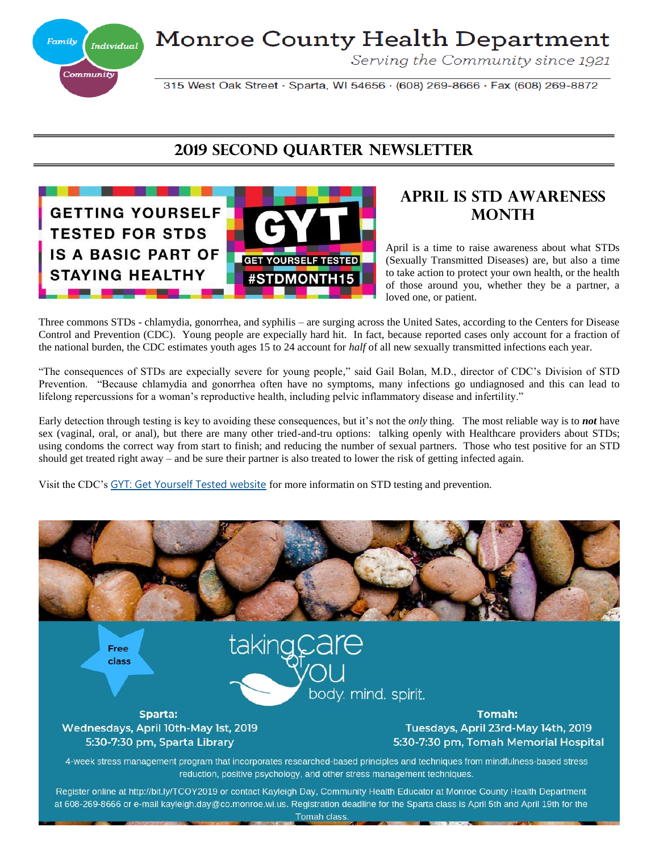**Monroe County Health Department** 



Serving the Community since 1921

315 West Oak Street · Sparta, WI 54656 · (608) 269-8666 · Fax (608) 269-8872

### **2019 second QuarteR Newsletter**



### **April is STD Awareness MONTH**

April is a time to raise awareness about what STDs (Sexually Transmitted Diseases) are, but also a time to take action to protect your own health, or the health of those around you, whether they be a partner, a loved one, or patient.

Three commons STDs - chlamydia, gonorrhea, and syphilis – are surging across the United Sates, according to the Centers for Disease Control and Prevention (CDC). Young people are expecially hard hit. In fact, because reported cases only account for a fraction of the national burden, the CDC estimates youth ages 15 to 24 account for *half* of all new sexually transmitted infections each year.

"The consequences of STDs are expecially severe for young people," said Gail Bolan, M.D., director of CDC's Division of STD Prevention. "Because chlamydia and gonorrhea often have no symptoms, many infections go undiagnosed and this can lead to lifelong repercussions for a woman's reproductive health, including pelvic inflammatory disease and infertility."

Early detection through testing is key to avoiding these consequences, but it's not the *only* thing. The most reliable way is to *not* have sex (vaginal, oral, or anal), but there are many other tried-and-tru options: talking openly with Healthcare providers about STDs; using condoms the correct way from start to finish; and reducing the number of sexual partners. Those who test positive for an STD should get treated right away – and be sure their partner is also treated to lower the risk of getting infected again.

Visit the CDC's [GYT: Get Yourself Tested website](https://www.cdc.gov/std/sam/gyt/default.htm) for more informatin on STD testing and prevention.

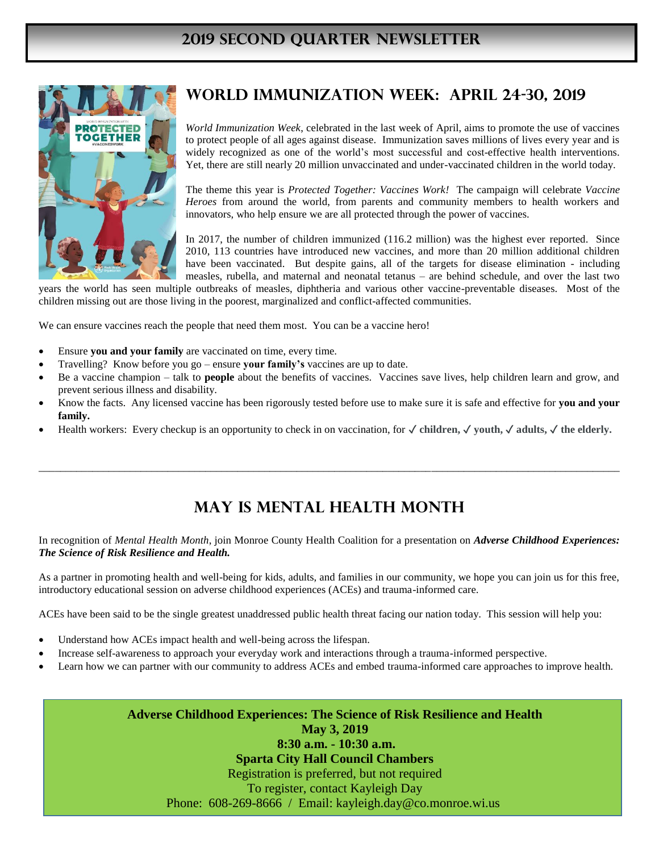### **2019 SECOND Quarter Newsletter**



## **WORLD IMMUNIZATION WEEk: April 24-30, 2019**

*World Immunization Week*, celebrated in the last week of April, aims to promote the use of vaccines to protect people of all ages against disease. Immunization saves millions of lives every year and is widely recognized as one of the world's most successful and cost-effective health interventions. Yet, there are still nearly 20 million unvaccinated and under-vaccinated children in the world today.

The theme this year is *Protected Together: Vaccines Work!* The campaign will celebrate *Vaccine Heroes* from around the world, from parents and community members to health workers and innovators, who help ensure we are all protected through the power of vaccines.

In 2017, the number of children immunized (116.2 million) was the highest ever reported. Since 2010, 113 countries have introduced new vaccines, and more than 20 million additional children have been vaccinated. But despite gains, all of the targets for disease elimination - including measles, rubella, and maternal and neonatal tetanus – are behind schedule, and over the last two

years the world has seen multiple outbreaks of measles, diphtheria and various other vaccine-preventable diseases. Most of the children missing out are those living in the poorest, marginalized and conflict-affected communities.

We can ensure vaccines reach the people that need them most. You can be a vaccine hero!

- Ensure **you and your family** are vaccinated on time, every time.
- Travelling? Know before you go ensure **your family's** vaccines are up to date.
- Be a vaccine champion talk to **people** about the benefits of vaccines. Vaccines save lives, help children learn and grow, and prevent serious illness and disability.
- Know the facts. Any licensed vaccine has been rigorously tested before use to make sure it is safe and effective for **you and your family.**
- Health workers: Every checkup is an opportunity to check in on vaccination, for ✓ **children,** ✓ **youth,** ✓ **adults,** ✓ **the elderly.**

# **May is mental health month**

\_\_\_\_\_\_\_\_\_\_\_\_\_\_\_\_\_\_\_\_\_\_\_\_\_\_\_\_\_\_\_\_\_\_\_\_\_\_\_\_\_\_\_\_\_\_\_\_\_\_\_\_\_\_\_\_\_\_\_\_\_\_\_\_\_\_\_\_\_\_\_\_\_\_\_\_\_\_\_\_\_\_\_\_\_\_\_\_\_\_\_\_\_\_\_\_\_\_\_\_\_\_\_\_\_\_\_\_

In recognition of *Mental Health Month*, join Monroe County Health Coalition for a presentation on *Adverse Childhood Experiences: The Science of Risk Resilience and Health.*

As a partner in promoting health and well-being for kids, adults, and families in our community, we hope you can join us for this free, introductory educational session on adverse childhood experiences (ACEs) and trauma-informed care.

ACEs have been said to be the single greatest unaddressed public health threat facing our nation today. This session will help you:

- Understand how ACEs impact health and well-being across the lifespan.
- Increase self-awareness to approach your everyday work and interactions through a trauma-informed perspective.
- Learn how we can partner with our community to address ACEs and embed trauma-informed care approaches to improve health.

**Adverse Childhood Experiences: The Science of Risk Resilience and Health May 3, 2019 8:30 a.m. - 10:30 a.m. Sparta City Hall Council Chambers** Registration is preferred, but not required To register, contact Kayleigh Day Phone: 608-269-8666 / Email: kayleigh.day@co.monroe.wi.us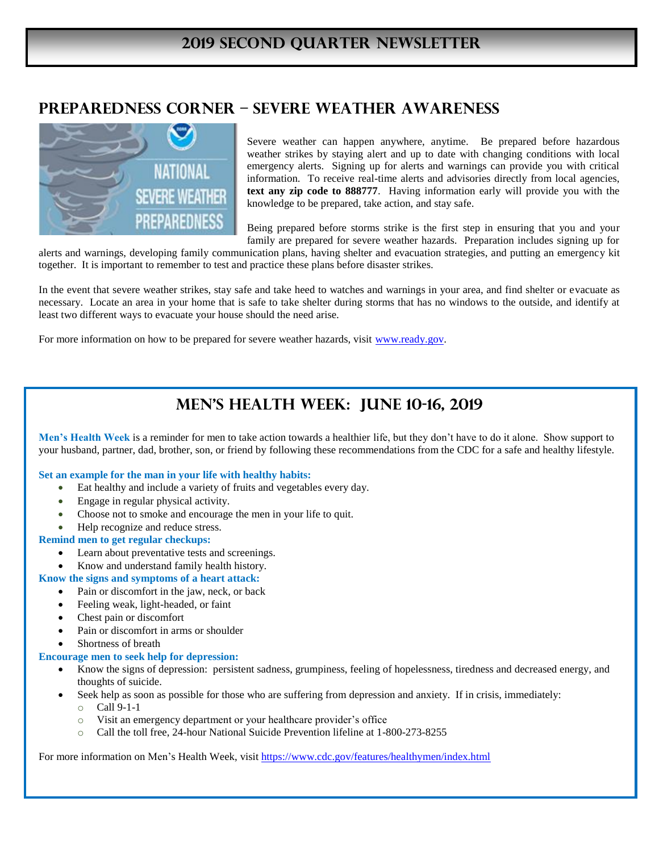## **Preparedness Corner – severe weather awareness**



Severe weather can happen anywhere, anytime. Be prepared before hazardous weather strikes by staying alert and up to date with changing conditions with local emergency alerts. Signing up for alerts and warnings can provide you with critical information. To receive real-time alerts and advisories directly from local agencies, **text any zip code to 888777**. Having information early will provide you with the knowledge to be prepared, take action, and stay safe.

Being prepared before storms strike is the first step in ensuring that you and your family are prepared for severe weather hazards. Preparation includes signing up for

alerts and warnings, developing family communication plans, having shelter and evacuation strategies, and putting an emergency kit together. It is important to remember to test and practice these plans before disaster strikes.

In the event that severe weather strikes, stay safe and take heed to watches and warnings in your area, and find shelter or evacuate as necessary. Locate an area in your home that is safe to take shelter during storms that has no windows to the outside, and identify at least two different ways to evacuate your house should the need arise.

For more information on how to be prepared for severe weather hazards, visit [www.ready.gov.](http://www.ready.gov/)

# **Men's health week: June 10-16, 2019**

**Men's Health Week** is a reminder for men to take action towards a healthier life, but they don't have to do it alone. Show support to your husband, partner, dad, brother, son, or friend by following these recommendations from the CDC for a safe and healthy lifestyle.

#### **Set an example for the man in your life with healthy habits:**

- Eat healthy and include a variety of fruits and vegetables every day.
- Engage in regular physical activity.
- Choose not to smoke and encourage the men in your life to quit.
- Help recognize and reduce stress.

#### **Remind men to get regular checkups:**

- Learn about preventative tests and screenings.
- Know and understand family health history.

#### **Know the signs and symptoms of a heart attack:**

- Pain or discomfort in the jaw, neck, or back
- Feeling weak, light-headed, or faint
- Chest pain or discomfort
- Pain or discomfort in arms or shoulder
- Shortness of breath

#### **Encourage men to seek help for depression:**

- Know the signs of depression: persistent sadness, grumpiness, feeling of hopelessness, tiredness and decreased energy, and thoughts of suicide.
- Seek help as soon as possible for those who are suffering from depression and anxiety. If in crisis, immediately: o Call 9-1-1
	- o Visit an emergency department or your healthcare provider's office
	- o Call the toll free, 24-hour National Suicide Prevention lifeline at 1-800-273-8255

For more information on Men's Health Week, visit<https://www.cdc.gov/features/healthymen/index.html>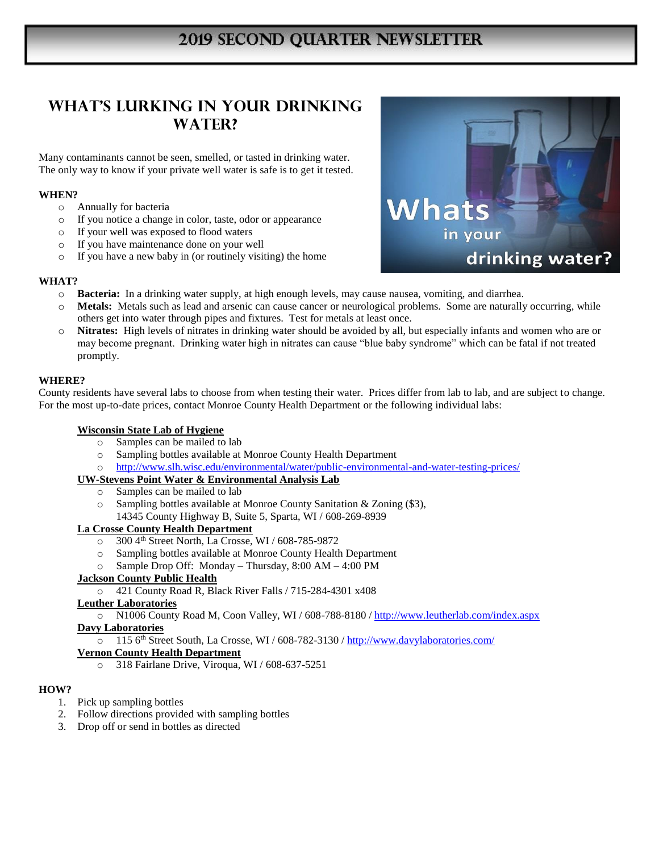# **2019 SECOND QUARTER NEWSLETTER**

### **WHAT'S LURKING IN YOUR DRINKING WATER?**

Many contaminants cannot be seen, smelled, or tasted in drinking water. The only way to know if your private well water is safe is to get it tested.

#### **WHEN?**

- o Annually for bacteria
- o If you notice a change in color, taste, odor or appearance
- o If your well was exposed to flood waters
- o If you have maintenance done on your well
- o If you have a new baby in (or routinely visiting) the home



#### **WHAT?**

- o **Bacteria:** In a drinking water supply, at high enough levels, may cause nausea, vomiting, and diarrhea.
- o **Metals:** Metals such as lead and arsenic can cause cancer or neurological problems. Some are naturally occurring, while others get into water through pipes and fixtures. Test for metals at least once.
- o **Nitrates:** High levels of nitrates in drinking water should be avoided by all, but especially infants and women who are or may become pregnant. Drinking water high in nitrates can cause "blue baby syndrome" which can be fatal if not treated promptly.

#### **WHERE?**

County residents have several labs to choose from when testing their water. Prices differ from lab to lab, and are subject to change. For the most up-to-date prices, contact Monroe County Health Department or the following individual labs:

#### **Wisconsin State Lab of Hygiene**

- o Samples can be mailed to lab
- o Sampling bottles available at Monroe County Health Department
- o <http://www.slh.wisc.edu/environmental/water/public-environmental-and-water-testing-prices/>

### **UW-Stevens Point Water & Environmental Analysis Lab**

- o Samples can be mailed to lab
- o Sampling bottles available at Monroe County Sanitation & Zoning (\$3),
- 14345 County Highway B, Suite 5, Sparta, WI / 608-269-8939

#### **La Crosse County Health Department**

- $\circ$  300 4<sup>th</sup> Street North, La Crosse, WI / 608-785-9872
- o Sampling bottles available at Monroe County Health Department
- o Sample Drop Off: Monday Thursday, 8:00 AM 4:00 PM

#### **Jackson County Public Health**

o 421 County Road R, Black River Falls / 715-284-4301 x408

#### **Leuther Laboratories**

o N1006 County Road M, Coon Valley, WI / 608-788-8180 /<http://www.leutherlab.com/index.aspx>

### **Davy Laboratories**

o 115 6th Street South, La Crosse, WI / 608-782-3130 / http://www.davylaboratories.com/

#### **Vernon County Health Department**

o 318 Fairlane Drive, Viroqua, WI / 608-637-5251

#### **HOW?**

- 1. Pick up sampling bottles
- 2. Follow directions provided with sampling bottles
- 3. Drop off or send in bottles as directed